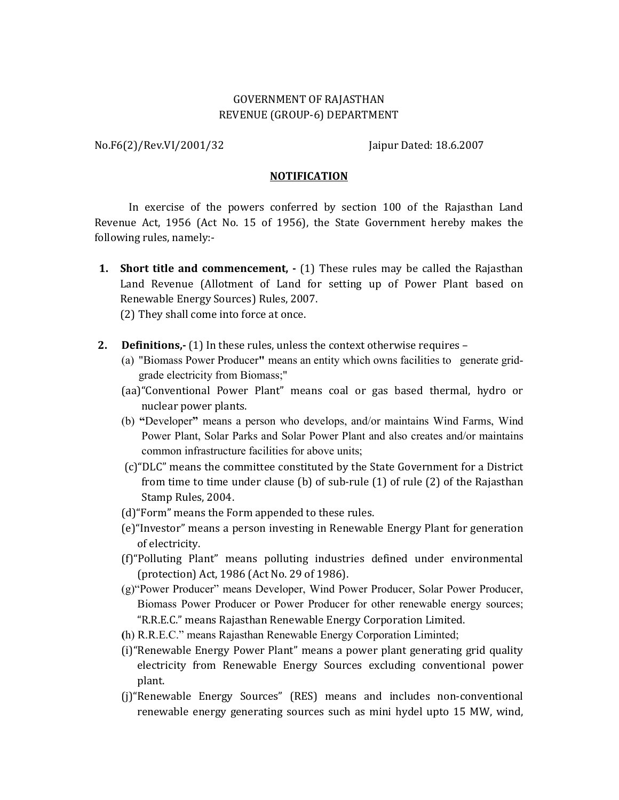### GOVERNMENT OF RAJASTHAN REVENUE (GROUP-6) DEPARTMENT

No.F6(2)/Rev.VI/2001/32 Jaipur Dated: 18.6.2007

#### **NOTIFICATION**

 In exercise of the powers conferred by section 100 of the Rajasthan Land Revenue Act, 1956 (Act No. 15 of 1956), the State Government hereby makes the following rules, namely:-

**1. Short title and commencement, -** (1) These rules may be called the Rajasthan Land Revenue (Allotment of Land for setting up of Power Plant based on Renewable Energy Sources) Rules, 2007.

(2) They shall come into force at once.

- **2. Definitions,-** (1) In these rules, unless the context otherwise requires
	- (a) "Biomass Power Producer**"** means an entity which owns facilities to generate gridgrade electricity from Biomass;"
	- (aa)"Conventional Power Plant" means coal or gas based thermal, hydro or nuclear power plants.
	- (b) **"**Developer**"** means a person who develops, and/or maintains Wind Farms, Wind Power Plant, Solar Parks and Solar Power Plant and also creates and/or maintains common infrastructure facilities for above units;
	- (c)"DLC" means the committee constituted by the State Government for a District from time to time under clause (b) of sub-rule (1) of rule (2) of the Rajasthan Stamp Rules, 2004.
	- (d)"Form" means the Form appended to these rules.
	- (e)"Investor" means a person investing in Renewable Energy Plant for generation of electricity.
	- (f)"Polluting Plant" means polluting industries defined under environmental (protection) Act, 1986 (Act No. 29 of 1986).
	- (g)"Power Producer" means Developer, Wind Power Producer, Solar Power Producer, Biomass Power Producer or Power Producer for other renewable energy sources; "R.R.E.C." means Rajasthan Renewable Energy Corporation Limited.
	- **(**h) R.R.E.C." means Rajasthan Renewable Energy Corporation Liminted;
	- (i)"Renewable Energy Power Plant" means a power plant generating grid quality electricity from Renewable Energy Sources excluding conventional power plant.
	- (j)"Renewable Energy Sources" (RES) means and includes non-conventional renewable energy generating sources such as mini hydel upto 15 MW, wind,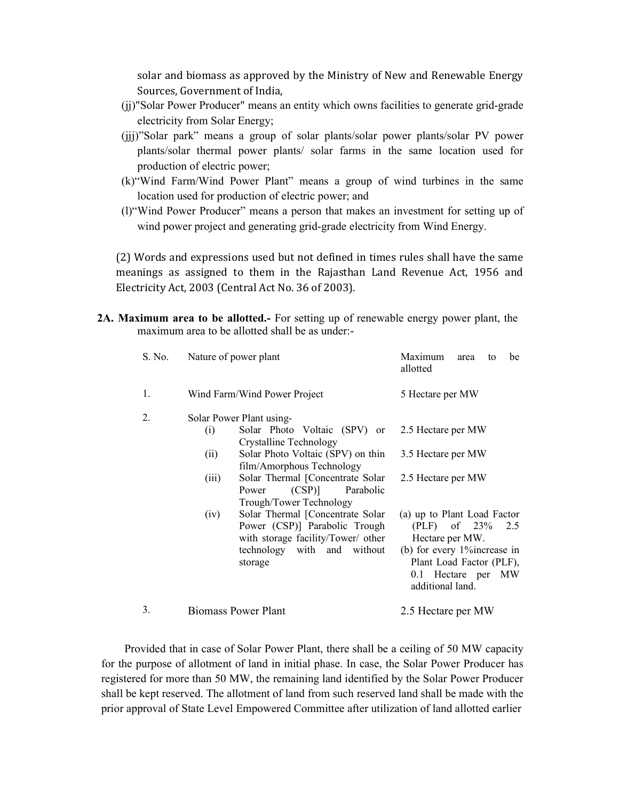solar and biomass as approved by the Ministry of New and Renewable Energy Sources, Government of India,

- (jj)"Solar Power Producer" means an entity which owns facilities to generate grid-grade electricity from Solar Energy;
- (jjj)"Solar park" means a group of solar plants/solar power plants/solar PV power plants/solar thermal power plants/ solar farms in the same location used for production of electric power;
- (k)"Wind Farm/Wind Power Plant" means a group of wind turbines in the same location used for production of electric power; and
- (l)"Wind Power Producer" means a person that makes an investment for setting up of wind power project and generating grid-grade electricity from Wind Energy.

(2) Words and expressions used but not defined in times rules shall have the same meanings as assigned to them in the Rajasthan Land Revenue Act, 1956 and Electricity Act, 2003 (Central Act No. 36 of 2003).

**2A. Maximum area to be allotted.-** For setting up of renewable energy power plant, the maximum area to be allotted shall be as under:-

| S. No.         | Nature of power plant                                                                                                                                                                                                                                                                                                                                                                                                                       | Maximum<br>be<br>area<br>to<br>allotted                                                                                                                                                                                                       |
|----------------|---------------------------------------------------------------------------------------------------------------------------------------------------------------------------------------------------------------------------------------------------------------------------------------------------------------------------------------------------------------------------------------------------------------------------------------------|-----------------------------------------------------------------------------------------------------------------------------------------------------------------------------------------------------------------------------------------------|
| 1.             | Wind Farm/Wind Power Project                                                                                                                                                                                                                                                                                                                                                                                                                | 5 Hectare per MW                                                                                                                                                                                                                              |
| $\overline{2}$ | Solar Power Plant using-<br>Solar Photo Voltaic (SPV) or<br>(i)<br>Crystalline Technology<br>Solar Photo Voltaic (SPV) on thin<br>(ii)<br>film/Amorphous Technology<br>Solar Thermal [Concentrate Solar<br>(iii)<br>$(CSP)$ ]<br>Parabolic<br>Power<br>Trough/Tower Technology<br>Solar Thermal [Concentrate Solar<br>(iv)<br>Power (CSP)] Parabolic Trough<br>with storage facility/Tower/ other<br>technology with and without<br>storage | 2.5 Hectare per MW<br>3.5 Hectare per MW<br>2.5 Hectare per MW<br>(a) up to Plant Load Factor<br>$(PLF)$ of 23\% 2.5<br>Hectare per MW.<br>(b) for every 1% increase in<br>Plant Load Factor (PLF),<br>0.1 Hectare per MW<br>additional land. |
| 3.             | Biomass Power Plant                                                                                                                                                                                                                                                                                                                                                                                                                         | 2.5 Hectare per MW                                                                                                                                                                                                                            |

Provided that in case of Solar Power Plant, there shall be a ceiling of 50 MW capacity for the purpose of allotment of land in initial phase. In case, the Solar Power Producer has registered for more than 50 MW, the remaining land identified by the Solar Power Producer shall be kept reserved. The allotment of land from such reserved land shall be made with the prior approval of State Level Empowered Committee after utilization of land allotted earlier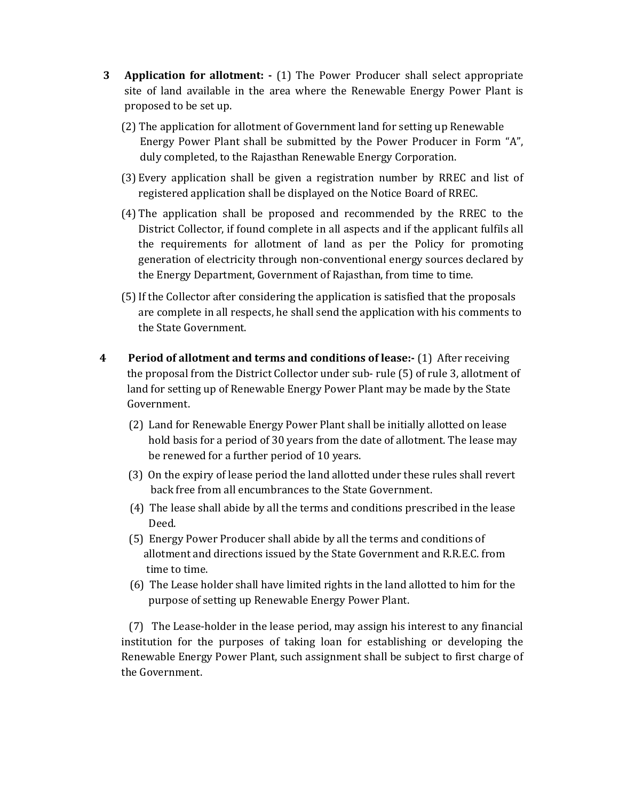- **3 Application for allotment:** (1) The Power Producer shall select appropriate site of land available in the area where the Renewable Energy Power Plant is proposed to be set up.
	- (2) The application for allotment of Government land for setting up Renewable Energy Power Plant shall be submitted by the Power Producer in Form "A", duly completed, to the Rajasthan Renewable Energy Corporation.
	- (3) Every application shall be given a registration number by RREC and list of registered application shall be displayed on the Notice Board of RREC.
	- (4) The application shall be proposed and recommended by the RREC to the District Collector, if found complete in all aspects and if the applicant fulfils all the requirements for allotment of land as per the Policy for promoting generation of electricity through non-conventional energy sources declared by the Energy Department, Government of Rajasthan, from time to time.
	- (5) If the Collector after considering the application is satisfied that the proposals are complete in all respects, he shall send the application with his comments to the State Government.
- **4 Period of allotment and terms and conditions of lease:-** (1) After receiving the proposal from the District Collector under sub- rule (5) of rule 3, allotment of land for setting up of Renewable Energy Power Plant may be made by the State Government.
	- (2) Land for Renewable Energy Power Plant shall be initially allotted on lease hold basis for a period of 30 years from the date of allotment. The lease may be renewed for a further period of 10 years.
	- (3) On the expiry of lease period the land allotted under these rules shall revert back free from all encumbrances to the State Government.
	- (4) The lease shall abide by all the terms and conditions prescribed in the lease Deed.
	- (5) Energy Power Producer shall abide by all the terms and conditions of allotment and directions issued by the State Government and R.R.E.C. from time to time.
	- (6) The Lease holder shall have limited rights in the land allotted to him for the purpose of setting up Renewable Energy Power Plant.

 (7) The Lease-holder in the lease period, may assign his interest to any financial institution for the purposes of taking loan for establishing or developing the Renewable Energy Power Plant, such assignment shall be subject to first charge of the Government.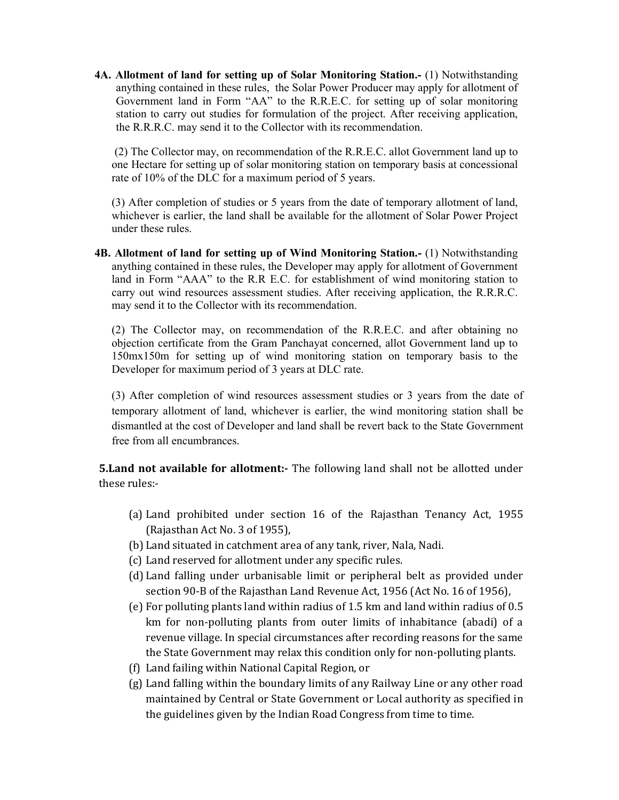**4A. Allotment of land for setting up of Solar Monitoring Station.-** (1) Notwithstanding anything contained in these rules, the Solar Power Producer may apply for allotment of Government land in Form "AA" to the R.R.E.C. for setting up of solar monitoring station to carry out studies for formulation of the project. After receiving application, the R.R.R.C. may send it to the Collector with its recommendation.

(2) The Collector may, on recommendation of the R.R.E.C. allot Government land up to one Hectare for setting up of solar monitoring station on temporary basis at concessional rate of 10% of the DLC for a maximum period of 5 years.

(3) After completion of studies or 5 years from the date of temporary allotment of land, whichever is earlier, the land shall be available for the allotment of Solar Power Project under these rules.

**4B. Allotment of land for setting up of Wind Monitoring Station.-** (1) Notwithstanding anything contained in these rules, the Developer may apply for allotment of Government land in Form "AAA" to the R.R E.C. for establishment of wind monitoring station to carry out wind resources assessment studies. After receiving application, the R.R.R.C. may send it to the Collector with its recommendation.

(2) The Collector may, on recommendation of the R.R.E.C. and after obtaining no objection certificate from the Gram Panchayat concerned, allot Government land up to 150mx150m for setting up of wind monitoring station on temporary basis to the Developer for maximum period of 3 years at DLC rate.

(3) After completion of wind resources assessment studies or 3 years from the date of temporary allotment of land, whichever is earlier, the wind monitoring station shall be dismantled at the cost of Developer and land shall be revert back to the State Government free from all encumbrances.

**5.Land not available for allotment:-** The following land shall not be allotted under these rules:-

- (a) Land prohibited under section 16 of the Rajasthan Tenancy Act, 1955 (Rajasthan Act No. 3 of 1955),
- (b) Land situated in catchment area of any tank, river, Nala, Nadi.
- (c) Land reserved for allotment under any specific rules.
- (d) Land falling under urbanisable limit or peripheral belt as provided under section 90-B of the Rajasthan Land Revenue Act, 1956 (Act No. 16 of 1956),
- (e) For polluting plants land within radius of 1.5 km and land within radius of 0.5 km for non-polluting plants from outer limits of inhabitance (abadi) of a revenue village. In special circumstances after recording reasons for the same the State Government may relax this condition only for non-polluting plants.
- (f) Land failing within National Capital Region, or
- (g) Land falling within the boundary limits of any Railway Line or any other road maintained by Central or State Government or Local authority as specified in the guidelines given by the Indian Road Congress from time to time.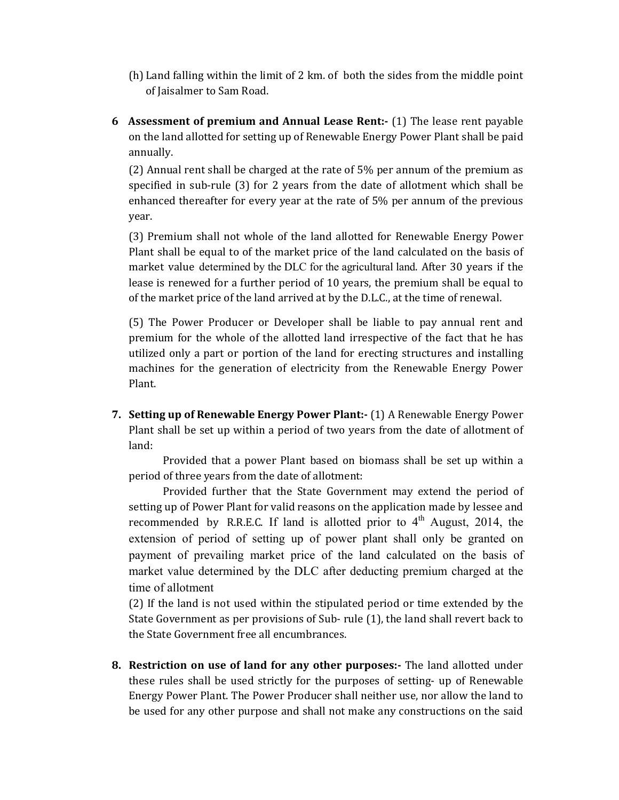- (h) Land falling within the limit of 2 km. of both the sides from the middle point of Jaisalmer to Sam Road.
- **6 Assessment of premium and Annual Lease Rent:-** (1) The lease rent payable on the land allotted for setting up of Renewable Energy Power Plant shall be paid annually.

(2) Annual rent shall be charged at the rate of 5% per annum of the premium as specified in sub-rule (3) for 2 years from the date of allotment which shall be enhanced thereafter for every year at the rate of 5% per annum of the previous year.

(3) Premium shall not whole of the land allotted for Renewable Energy Power Plant shall be equal to of the market price of the land calculated on the basis of market value determined by the DLC for the agricultural land. After 30 years if the lease is renewed for a further period of 10 years, the premium shall be equal to of the market price of the land arrived at by the D.L.C., at the time of renewal.

(5) The Power Producer or Developer shall be liable to pay annual rent and premium for the whole of the allotted land irrespective of the fact that he has utilized only a part or portion of the land for erecting structures and installing machines for the generation of electricity from the Renewable Energy Power Plant.

**7. Setting up of Renewable Energy Power Plant:-** (1) A Renewable Energy Power Plant shall be set up within a period of two years from the date of allotment of land:

Provided that a power Plant based on biomass shall be set up within a period of three years from the date of allotment:

Provided further that the State Government may extend the period of setting up of Power Plant for valid reasons on the application made by lessee and recommended by R.R.E.C. If land is allotted prior to  $4<sup>th</sup>$  August, 2014, the extension of period of setting up of power plant shall only be granted on payment of prevailing market price of the land calculated on the basis of market value determined by the DLC after deducting premium charged at the time of allotment

(2) If the land is not used within the stipulated period or time extended by the State Government as per provisions of Sub- rule (1), the land shall revert back to the State Government free all encumbrances.

**8. Restriction on use of land for any other purposes:-** The land allotted under these rules shall be used strictly for the purposes of setting- up of Renewable Energy Power Plant. The Power Producer shall neither use, nor allow the land to be used for any other purpose and shall not make any constructions on the said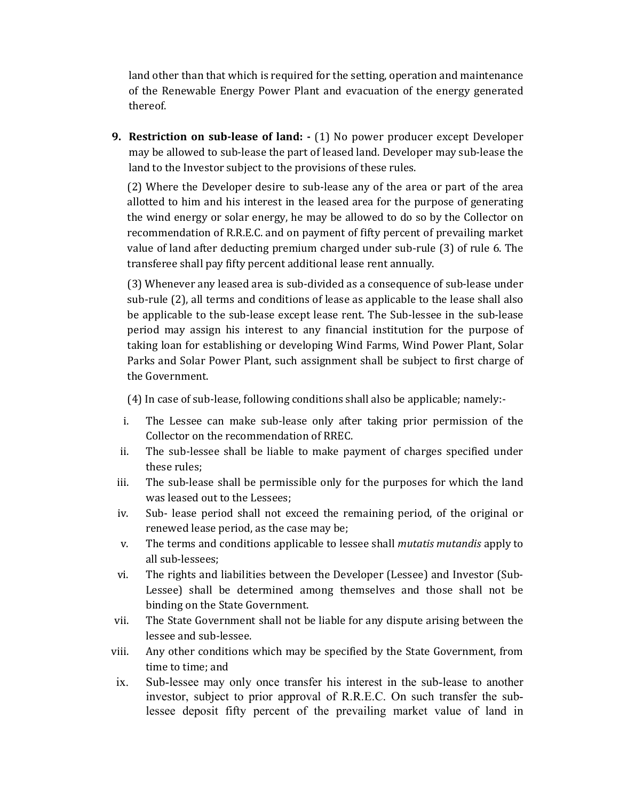land other than that which is required for the setting, operation and maintenance of the Renewable Energy Power Plant and evacuation of the energy generated thereof.

**9. Restriction on sub-lease of land: -** (1) No power producer except Developer may be allowed to sub-lease the part of leased land. Developer may sub-lease the land to the Investor subject to the provisions of these rules.

(2) Where the Developer desire to sub-lease any of the area or part of the area allotted to him and his interest in the leased area for the purpose of generating the wind energy or solar energy, he may be allowed to do so by the Collector on recommendation of R.R.E.C. and on payment of fifty percent of prevailing market value of land after deducting premium charged under sub-rule (3) of rule 6. The transferee shall pay fifty percent additional lease rent annually.

(3) Whenever any leased area is sub-divided as a consequence of sub-lease under sub-rule (2), all terms and conditions of lease as applicable to the lease shall also be applicable to the sub-lease except lease rent. The Sub-lessee in the sub-lease period may assign his interest to any financial institution for the purpose of taking loan for establishing or developing Wind Farms, Wind Power Plant, Solar Parks and Solar Power Plant, such assignment shall be subject to first charge of the Government.

(4) In case of sub-lease, following conditions shall also be applicable; namely:-

- i. The Lessee can make sub-lease only after taking prior permission of the Collector on the recommendation of RREC.
- ii. The sub-lessee shall be liable to make payment of charges specified under these rules;
- iii. The sub-lease shall be permissible only for the purposes for which the land was leased out to the Lessees;
- iv. Sub- lease period shall not exceed the remaining period, of the original or renewed lease period, as the case may be;
- v. The terms and conditions applicable to lessee shall *mutatis mutandis* apply to all sub-lessees;
- vi. The rights and liabilities between the Developer (Lessee) and Investor (Sub-Lessee) shall be determined among themselves and those shall not be binding on the State Government.
- vii. The State Government shall not be liable for any dispute arising between the lessee and sub-lessee.
- viii. Any other conditions which may be specified by the State Government, from time to time; and
- ix. Sub-lessee may only once transfer his interest in the sub-lease to another investor, subject to prior approval of R.R.E.C. On such transfer the sublessee deposit fifty percent of the prevailing market value of land in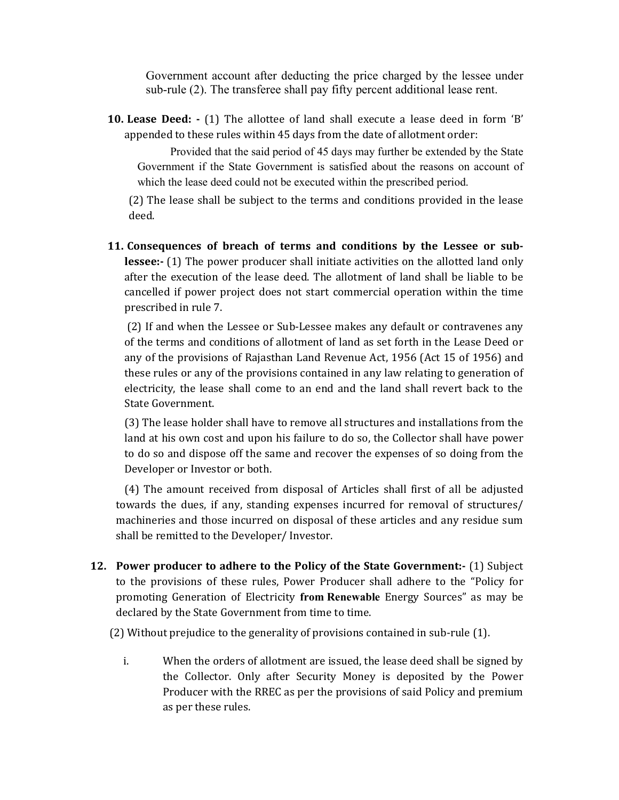Government account after deducting the price charged by the lessee under sub-rule (2). The transferee shall pay fifty percent additional lease rent.

**10. Lease Deed: -** (1) The allottee of land shall execute a lease deed in form 'B' appended to these rules within 45 days from the date of allotment order:

Provided that the said period of 45 days may further be extended by the State Government if the State Government is satisfied about the reasons on account of which the lease deed could not be executed within the prescribed period.

(2) The lease shall be subject to the terms and conditions provided in the lease deed.

**11. Consequences of breach of terms and conditions by the Lessee or sublessee:-** (1) The power producer shall initiate activities on the allotted land only after the execution of the lease deed. The allotment of land shall be liable to be cancelled if power project does not start commercial operation within the time prescribed in rule 7.

 (2) If and when the Lessee or Sub-Lessee makes any default or contravenes any of the terms and conditions of allotment of land as set forth in the Lease Deed or any of the provisions of Rajasthan Land Revenue Act, 1956 (Act 15 of 1956) and these rules or any of the provisions contained in any law relating to generation of electricity, the lease shall come to an end and the land shall revert back to the State Government.

(3) The lease holder shall have to remove all structures and installations from the land at his own cost and upon his failure to do so, the Collector shall have power to do so and dispose off the same and recover the expenses of so doing from the Developer or Investor or both.

(4) The amount received from disposal of Articles shall first of all be adjusted towards the dues, if any, standing expenses incurred for removal of structures/ machineries and those incurred on disposal of these articles and any residue sum shall be remitted to the Developer/ Investor.

**12. Power producer to adhere to the Policy of the State Government:-** (1) Subject to the provisions of these rules, Power Producer shall adhere to the "Policy for promoting Generation of Electricity **from Renewable** Energy Sources" as may be declared by the State Government from time to time.

(2) Without prejudice to the generality of provisions contained in sub-rule (1).

i. When the orders of allotment are issued, the lease deed shall be signed by the Collector. Only after Security Money is deposited by the Power Producer with the RREC as per the provisions of said Policy and premium as per these rules.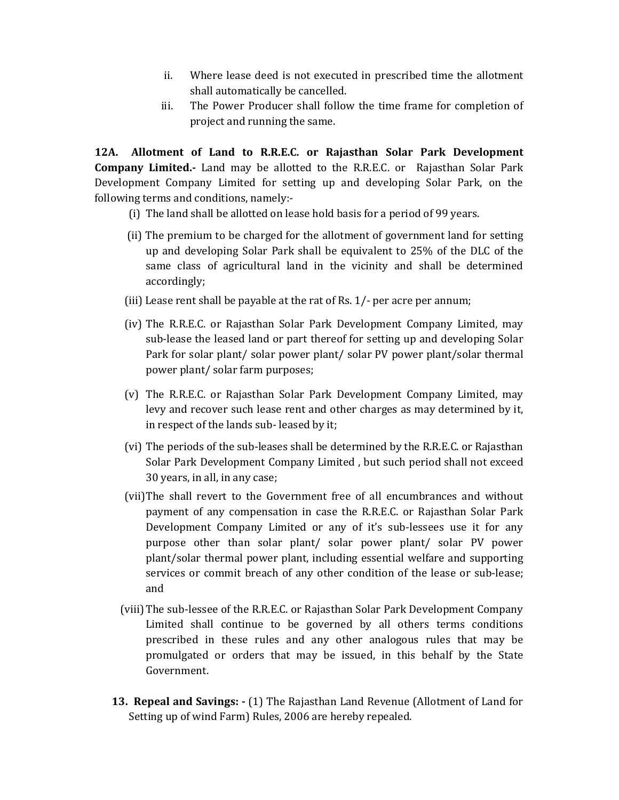- ii. Where lease deed is not executed in prescribed time the allotment shall automatically be cancelled.
- iii. The Power Producer shall follow the time frame for completion of project and running the same.

**12A. Allotment of Land to R.R.E.C. or Rajasthan Solar Park Development Company Limited.-** Land may be allotted to the R.R.E.C. or Rajasthan Solar Park Development Company Limited for setting up and developing Solar Park, on the following terms and conditions, namely:-

- (i) The land shall be allotted on lease hold basis for a period of 99 years.
- (ii) The premium to be charged for the allotment of government land for setting up and developing Solar Park shall be equivalent to 25% of the DLC of the same class of agricultural land in the vicinity and shall be determined accordingly;
- (iii) Lease rent shall be payable at the rat of Rs. 1/- per acre per annum;
- (iv) The R.R.E.C. or Rajasthan Solar Park Development Company Limited, may sub-lease the leased land or part thereof for setting up and developing Solar Park for solar plant/ solar power plant/ solar PV power plant/solar thermal power plant/ solar farm purposes;
- (v) The R.R.E.C. or Rajasthan Solar Park Development Company Limited, may levy and recover such lease rent and other charges as may determined by it, in respect of the lands sub- leased by it;
- (vi) The periods of the sub-leases shall be determined by the R.R.E.C. or Rajasthan Solar Park Development Company Limited , but such period shall not exceed 30 years, in all, in any case;
- (vii)The shall revert to the Government free of all encumbrances and without payment of any compensation in case the R.R.E.C. or Rajasthan Solar Park Development Company Limited or any of it's sub-lessees use it for any purpose other than solar plant/ solar power plant/ solar PV power plant/solar thermal power plant, including essential welfare and supporting services or commit breach of any other condition of the lease or sub-lease; and
- (viii) The sub-lessee of the R.R.E.C. or Rajasthan Solar Park Development Company Limited shall continue to be governed by all others terms conditions prescribed in these rules and any other analogous rules that may be promulgated or orders that may be issued, in this behalf by the State Government.
- **13. Repeal and Savings:** (1) The Rajasthan Land Revenue (Allotment of Land for Setting up of wind Farm) Rules, 2006 are hereby repealed.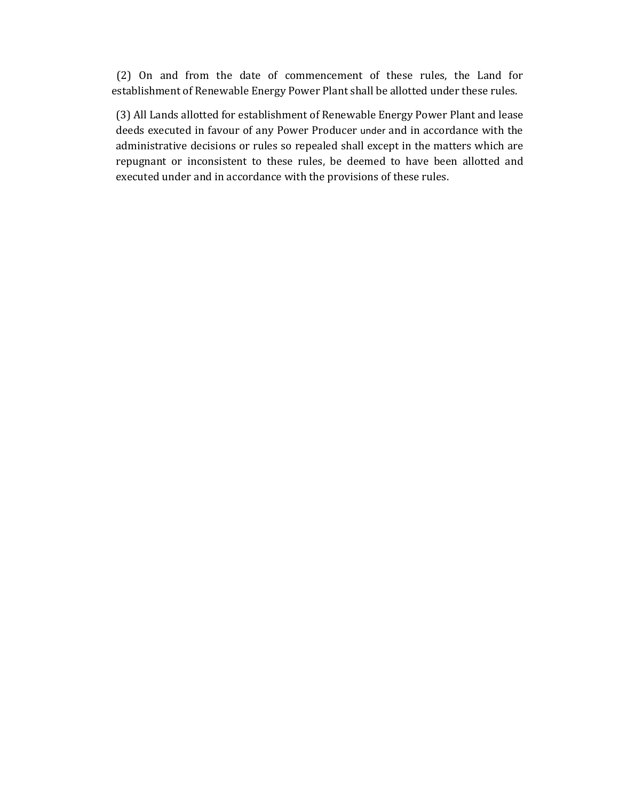(2) On and from the date of commencement of these rules, the Land for establishment of Renewable Energy Power Plant shall be allotted under these rules.

(3) All Lands allotted for establishment of Renewable Energy Power Plant and lease deeds executed in favour of any Power Producer under and in accordance with the administrative decisions or rules so repealed shall except in the matters which are repugnant or inconsistent to these rules, be deemed to have been allotted and executed under and in accordance with the provisions of these rules.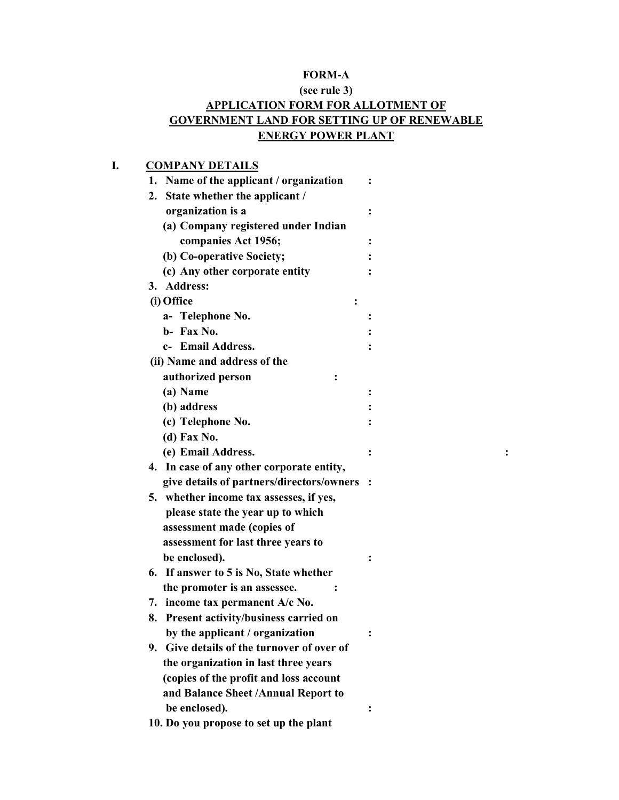# **FORM-A**

## **(see rule 3) APPLICATION FORM FOR ALLOTMENT OF GOVERNMENT LAND FOR SETTING UP OF RENEWABLE ENERGY POWER PLANT**

## **I. COMPANY DETAILS**

|    | 1. Name of the applicant / organization     | ፡ |
|----|---------------------------------------------|---|
|    | 2. State whether the applicant /            |   |
|    | organization is a                           |   |
|    | (a) Company registered under Indian         |   |
|    | companies Act 1956;                         |   |
|    | (b) Co-operative Society;                   |   |
|    | (c) Any other corporate entity              |   |
| 3. | <b>Address:</b>                             |   |
|    | (i) Office                                  |   |
|    | a- Telephone No.                            |   |
|    | b- Fax No.                                  |   |
|    | c- Email Address.                           |   |
|    | (ii) Name and address of the                |   |
|    | authorized person                           |   |
|    | (a) Name                                    |   |
|    | (b) address                                 |   |
|    | (c) Telephone No.                           |   |
|    | (d) Fax No.                                 |   |
|    | (e) Email Address.                          |   |
|    | 4. In case of any other corporate entity,   |   |
|    | give details of partners/directors/owners : |   |
|    | 5. whether income tax assesses, if yes,     |   |
|    | please state the year up to which           |   |
|    | assessment made (copies of                  |   |
|    | assessment for last three years to          |   |
|    | be enclosed).                               |   |
|    | 6. If answer to 5 is No, State whether      |   |
|    | the promoter is an assessee.                |   |
|    | 7. income tax permanent A/c No.             |   |
|    | 8. Present activity/business carried on     |   |
|    | by the applicant / organization             |   |
| 9. | Give details of the turnover of over of     |   |
|    | the organization in last three years        |   |
|    | (copies of the profit and loss account      |   |
|    | and Balance Sheet /Annual Report to         |   |
|    | be enclosed).                               |   |
|    | 10. Do you propose to set up the plant      |   |
|    |                                             |   |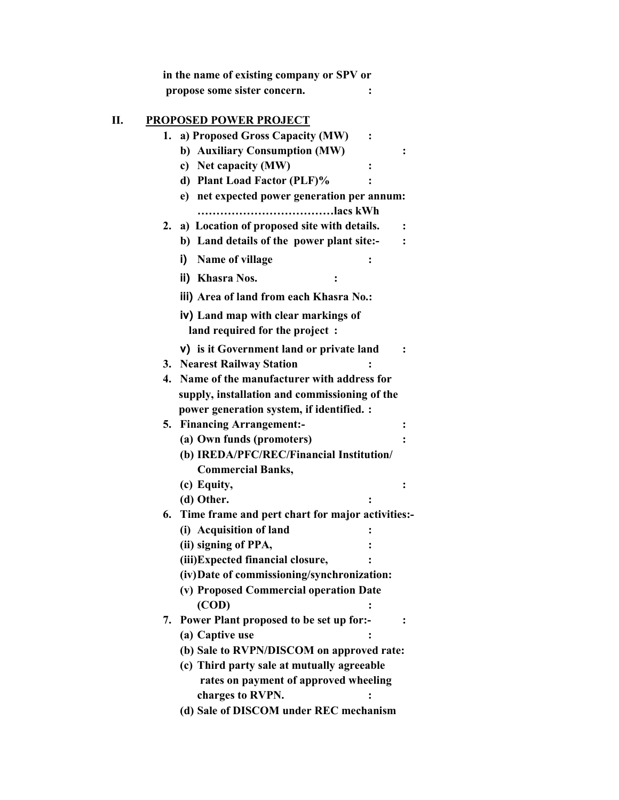|    | in the name of existing company or SPV or<br>propose some sister concern. |                |
|----|---------------------------------------------------------------------------|----------------|
|    |                                                                           |                |
|    | <b>PROPOSED POWER PROJECT</b>                                             |                |
| 1. | a) Proposed Gross Capacity (MW)                                           |                |
|    | b) Auxiliary Consumption (MW)                                             |                |
|    | c) Net capacity (MW)                                                      |                |
|    | d) Plant Load Factor (PLF)%                                               |                |
|    | e) net expected power generation per annum:<br>lacs kWh                   |                |
| 2. | a) Location of proposed site with details.                                |                |
|    | b) Land details of the power plant site:-                                 |                |
|    |                                                                           |                |
|    | Name of village<br>i)                                                     |                |
|    | ii) Khasra Nos.<br>$\ddot{\cdot}$                                         |                |
|    | iii) Area of land from each Khasra No.:                                   |                |
|    | iv) Land map with clear markings of                                       |                |
|    | land required for the project :                                           |                |
|    | v) is it Government land or private land                                  |                |
|    | 3. Nearest Railway Station                                                |                |
| 4. | Name of the manufacturer with address for                                 |                |
|    | supply, installation and commissioning of the                             |                |
|    | power generation system, if identified. :                                 |                |
|    | 5. Financing Arrangement:-                                                | $\ddot{\cdot}$ |
|    | (a) Own funds (promoters)                                                 |                |
|    | (b) IREDA/PFC/REC/Financial Institution/                                  |                |
|    | <b>Commercial Banks,</b>                                                  |                |
|    | (c) Equity,                                                               | $\ddot{\cdot}$ |
|    | (d) Other.                                                                |                |
| 6. | Time frame and pert chart for major activities:-                          |                |
|    | (i) Acquisition of land                                                   |                |
|    | (ii) signing of PPA,                                                      |                |
|    | (iii) Expected financial closure,                                         |                |
|    | (iv) Date of commissioning/synchronization:                               |                |
|    | (v) Proposed Commercial operation Date                                    |                |
|    | (COD)                                                                     |                |
| 7. | Power Plant proposed to be set up for:-                                   |                |
|    | (a) Captive use                                                           |                |
|    | (b) Sale to RVPN/DISCOM on approved rate:                                 |                |
|    | (c) Third party sale at mutually agreeable                                |                |
|    | rates on payment of approved wheeling                                     |                |
|    | charges to RVPN.<br>(d) Sale of DISCOM under REC mechanism                |                |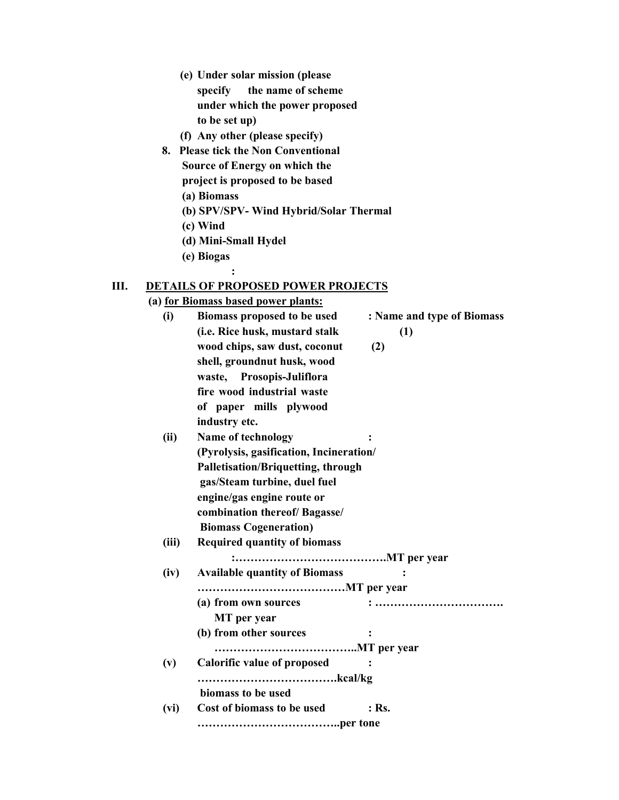- **(e) Under solar mission (please specify the name of scheme under which the power proposed to be set up)**
- **(f) Any other (please specify)**
- **8. Please tick the Non Conventional Source of Energy on which the project is proposed to be based** 
	- **(a) Biomass**
	- **(b) SPV/SPV- Wind Hybrid/Solar Thermal**
	- **(c) Wind**
	- **(d) Mini-Small Hydel**

 **:** 

**(e) Biogas** 

#### **III. DETAILS OF PROPOSED POWER PROJECTS**

**(a) for Biomass based power plants:**

| $\ddotsc$ | <b>BIOINNESS DUSCU POWER PRIMERS!</b>     |                            |
|-----------|-------------------------------------------|----------------------------|
| (i)       | Biomass proposed to be used               | : Name and type of Biomass |
|           | (i.e. Rice husk, mustard stalk            | (1)                        |
|           | wood chips, saw dust, coconut             | (2)                        |
|           | shell, groundnut husk, wood               |                            |
|           | waste, Prosopis-Juliflora                 |                            |
|           | fire wood industrial waste                |                            |
|           | of paper mills plywood                    |                            |
|           | industry etc.                             |                            |
| (ii)      | <b>Name of technology</b>                 |                            |
|           | (Pyrolysis, gasification, Incineration/   |                            |
|           | <b>Palletisation/Briquetting, through</b> |                            |
|           | gas/Steam turbine, duel fuel              |                            |
|           | engine/gas engine route or                |                            |
|           | combination thereof/ Bagasse/             |                            |
|           |                                           |                            |
|           | <b>Biomass Cogeneration)</b>              |                            |
| (iii)     | <b>Required quantity of biomass</b>       |                            |
|           |                                           |                            |
| (iv)      | <b>Available quantity of Biomass</b>      |                            |
|           |                                           |                            |
|           | (a) from own sources                      | :                          |
|           | MT per year                               |                            |
|           | (b) from other sources                    |                            |
|           |                                           |                            |
| (v)       | <b>Calorific value of proposed</b>        |                            |
|           |                                           |                            |
|           | biomass to be used                        |                            |
| (vi)      | Cost of biomass to be used                | $:$ Rs.                    |
|           |                                           |                            |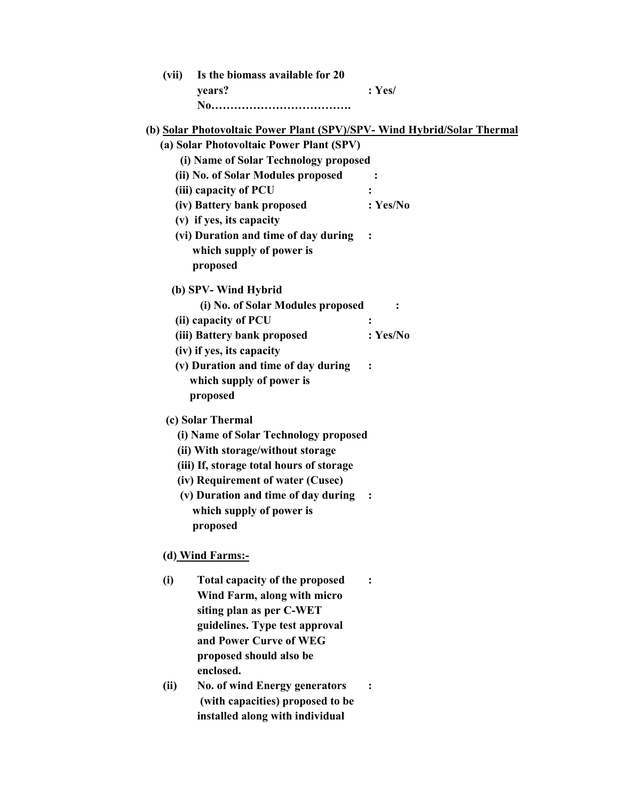| (vii) | Is the biomass available for 20<br>years?                               | : Yes/         |
|-------|-------------------------------------------------------------------------|----------------|
|       | (b) Solar Photovoltaic Power Plant (SPV)/SPV- Wind Hybrid/Solar Thermal |                |
|       | (a) Solar Photovoltaic Power Plant (SPV)                                |                |
|       | (i) Name of Solar Technology proposed                                   |                |
|       | (ii) No. of Solar Modules proposed                                      | $\ddot{\cdot}$ |
|       | (iii) capacity of PCU                                                   | :              |
|       | (iv) Battery bank proposed                                              | : Yes/No       |
|       | (v) if yes, its capacity                                                |                |
|       | (vi) Duration and time of day during                                    |                |
|       | which supply of power is                                                |                |
|       | proposed                                                                |                |
|       | (b) SPV- Wind Hybrid                                                    |                |
|       | (i) No. of Solar Modules proposed                                       |                |
|       | (ii) capacity of PCU                                                    | $\ddot{\cdot}$ |
|       | (iii) Battery bank proposed                                             | : Yes/No       |
|       | (iv) if yes, its capacity                                               |                |
|       | (v) Duration and time of day during                                     |                |
|       | which supply of power is                                                |                |
|       | proposed                                                                |                |
|       | (c) Solar Thermal                                                       |                |
|       | (i) Name of Solar Technology proposed                                   |                |
|       | (ii) With storage/without storage                                       |                |
|       | (iii) If, storage total hours of storage                                |                |
|       | (iv) Requirement of water (Cusec)                                       |                |
|       | (v) Duration and time of day during                                     |                |
|       | which supply of power is                                                |                |
|       | proposed                                                                |                |
|       | (d) Wind Farms:-                                                        |                |
| (i)   | Total capacity of the proposed                                          | $\ddot{\cdot}$ |
|       | Wind Farm, along with micro                                             |                |
|       | siting plan as per C-WET                                                |                |
|       | guidelines. Type test approval                                          |                |
|       | and Power Curve of WEG                                                  |                |
|       | proposed should also be                                                 |                |
|       | enclosed.                                                               |                |
| (ii)  | <b>No. of wind Energy generators</b>                                    |                |
|       | (with capacities) proposed to be                                        |                |
|       | installed along with individual                                         |                |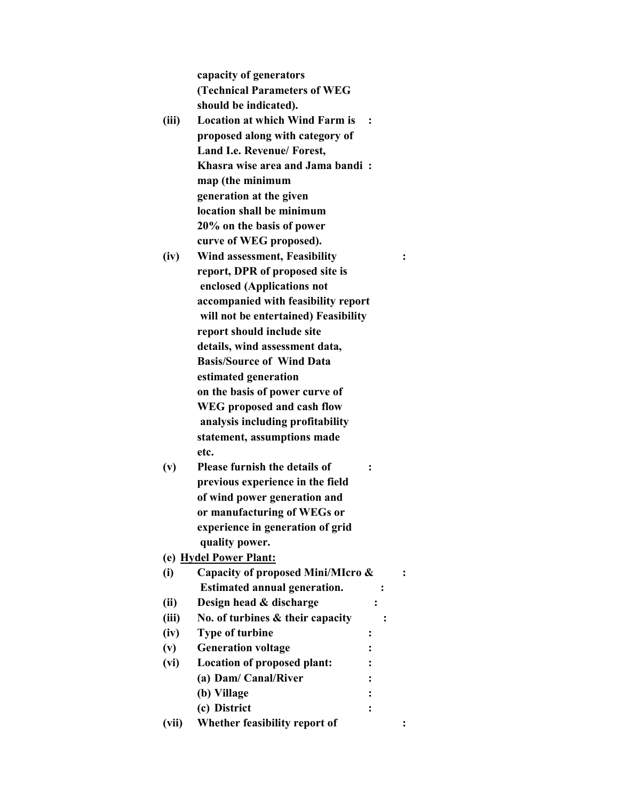**capacity of generators (Technical Parameters of WEG should be indicated).** 

- **(iii) Location at which Wind Farm is : proposed along with category of Land I.e. Revenue/ Forest, Khasra wise area and Jama bandi : map (the minimum generation at the given location shall be minimum 20% on the basis of power curve of WEG proposed).**
- **(iv) Wind assessment, Feasibility : report, DPR of proposed site is enclosed (Applications not accompanied with feasibility report will not be entertained) Feasibility report should include site details, wind assessment data, Basis/Source of Wind Data estimated generation on the basis of power curve of WEG proposed and cash flow analysis including profitability statement, assumptions made etc.**
- **(v) Please furnish the details of : previous experience in the field of wind power generation and or manufacturing of WEGs or experience in generation of grid quality power.**
- **(e) Hydel Power Plant:**
- **(i) Capacity of proposed Mini/MIcro & : Estimated annual generation.** : **(ii) Design head & discharge : (iii) No. of turbines & their capacity : (iv) Type of turbine : (v) Generation voltage : (vi) Location of proposed plant: : (a) Dam/ Canal/River : (b) Village : (c) District : (vii) Whether feasibility report of :**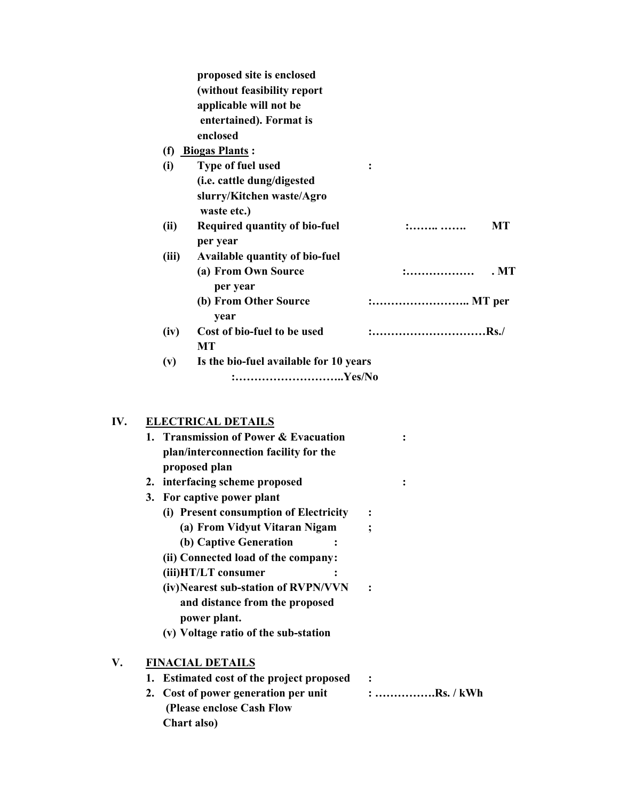|       | proposed site is enclosed              |          |      |
|-------|----------------------------------------|----------|------|
|       | (without feasibility report            |          |      |
|       | applicable will not be                 |          |      |
|       | entertained). Format is                |          |      |
|       | enclosed                               |          |      |
| (f)   | <b>Biogas Plants:</b>                  |          |      |
| (i)   | Type of fuel used                      |          |      |
|       | (i.e. cattle dung/digested             |          |      |
|       | slurry/Kitchen waste/Agro              |          |      |
|       | waste etc.)                            |          |      |
| (ii)  | <b>Required quantity of bio-fuel</b>   |          | МT   |
|       | per year                               |          |      |
| (iii) | <b>Available quantity of bio-fuel</b>  |          |      |
|       | (a) From Own Source                    | .        | . MT |
|       | per year                               |          |      |
|       | (b) From Other Source                  | : MT per |      |
|       | year                                   |          |      |
| (iv)  | Cost of bio-fuel to be used            | :Rs./    |      |
|       | <b>MT</b>                              |          |      |
| (v)   | Is the bio-fuel available for 10 years |          |      |
|       | :Yes/No                                |          |      |

# **IV. ELECTRICAL DETAILS**

|    |    | 1. Transmission of Power & Evacuation<br>plan/interconnection facility for the<br>proposed plan |             |
|----|----|-------------------------------------------------------------------------------------------------|-------------|
|    |    | 2. interfacing scheme proposed                                                                  |             |
|    |    | 3. For captive power plant                                                                      |             |
|    |    | (i) Present consumption of Electricity                                                          |             |
|    |    | (a) From Vidyut Vitaran Nigam                                                                   |             |
|    |    | (b) Captive Generation                                                                          |             |
|    |    | (ii) Connected load of the company:                                                             |             |
|    |    | (iii)HT/LT consumer                                                                             |             |
|    |    | (iv) Nearest sub-station of RVPN/VVN<br>and distance from the proposed<br>power plant.          |             |
|    |    | (v) Voltage ratio of the sub-station                                                            |             |
| V. |    | <b>FINACIAL DETAILS</b>                                                                         |             |
|    |    | 1. Estimated cost of the project proposed                                                       | $\sim$ :    |
|    | 2. | Cost of power generation per unit<br>(Please enclose Cash Flow<br>Chart also)                   | : Rs. / kWh |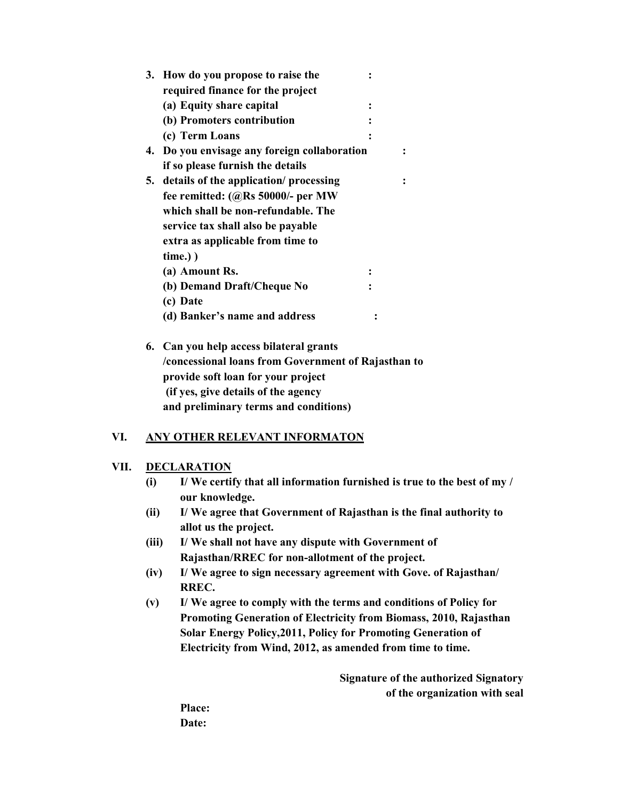| 3. | How do you propose to raise the              |  |
|----|----------------------------------------------|--|
|    | required finance for the project             |  |
|    | (a) Equity share capital                     |  |
|    | (b) Promoters contribution                   |  |
|    | (c) Term Loans                               |  |
|    | 4. Do you envisage any foreign collaboration |  |
|    | if so please furnish the details             |  |
| 5. | details of the application/ processing       |  |
|    | fee remitted: $(QRs 50000/-$ per MW          |  |
|    | which shall be non-refundable. The           |  |
|    | service tax shall also be payable            |  |
|    | extra as applicable from time to             |  |
|    | $time.)$ )                                   |  |
|    | (a) Amount Rs.                               |  |
|    | (b) Demand Draft/Cheque No                   |  |
|    | (c) Date                                     |  |
|    | (d) Banker's name and address                |  |
|    |                                              |  |

**6. Can you help access bilateral grants /concessional loans from Government of Rajasthan to provide soft loan for your project (if yes, give details of the agency and preliminary terms and conditions)** 

### **VI. ANY OTHER RELEVANT INFORMATON**

#### **VII. DECLARATION**

- **(i) I/ We certify that all information furnished is true to the best of my / our knowledge.**
- **(ii) I/ We agree that Government of Rajasthan is the final authority to allot us the project.**
- **(iii) I/ We shall not have any dispute with Government of Rajasthan/RREC for non-allotment of the project.**
- **(iv) I/ We agree to sign necessary agreement with Gove. of Rajasthan/ RREC.**
- **(v) I/ We agree to comply with the terms and conditions of Policy for Promoting Generation of Electricity from Biomass, 2010, Rajasthan Solar Energy Policy,2011, Policy for Promoting Generation of Electricity from Wind, 2012, as amended from time to time.**

**Signature of the authorized Signatory of the organization with seal** 

**Place: Date:**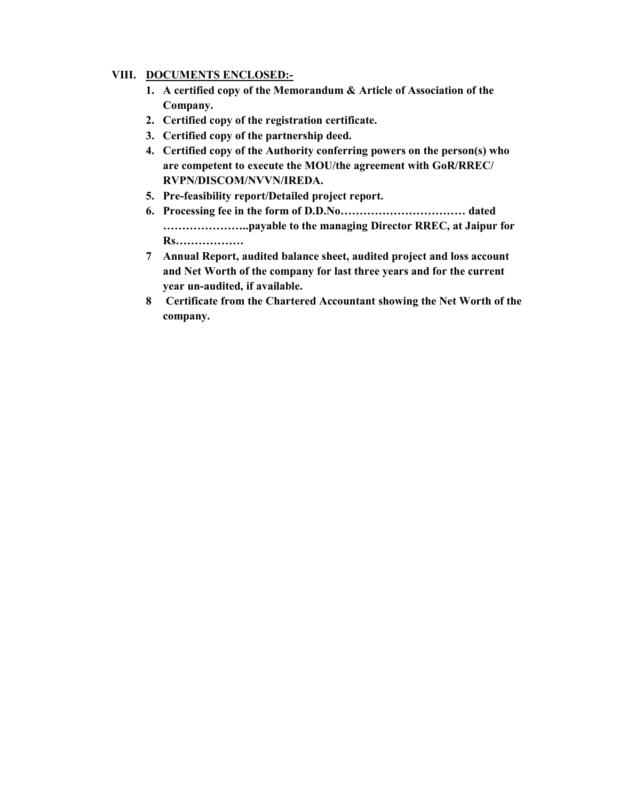#### **VIII. DOCUMENTS ENCLOSED:-**

- **1. A certified copy of the Memorandum & Article of Association of the Company.**
- **2. Certified copy of the registration certificate.**
- **3. Certified copy of the partnership deed.**
- **4. Certified copy of the Authority conferring powers on the person(s) who are competent to execute the MOU/the agreement with GoR/RREC/ RVPN/DISCOM/NVVN/IREDA.**
- **5. Pre-feasibility report/Detailed project report.**
- **6. Processing fee in the form of D.D.No…………………………… dated …………………..payable to the managing Director RREC, at Jaipur for Rs………………**
- **7 Annual Report, audited balance sheet, audited project and loss account and Net Worth of the company for last three years and for the current year un-audited, if available.**
- **8 Certificate from the Chartered Accountant showing the Net Worth of the company.**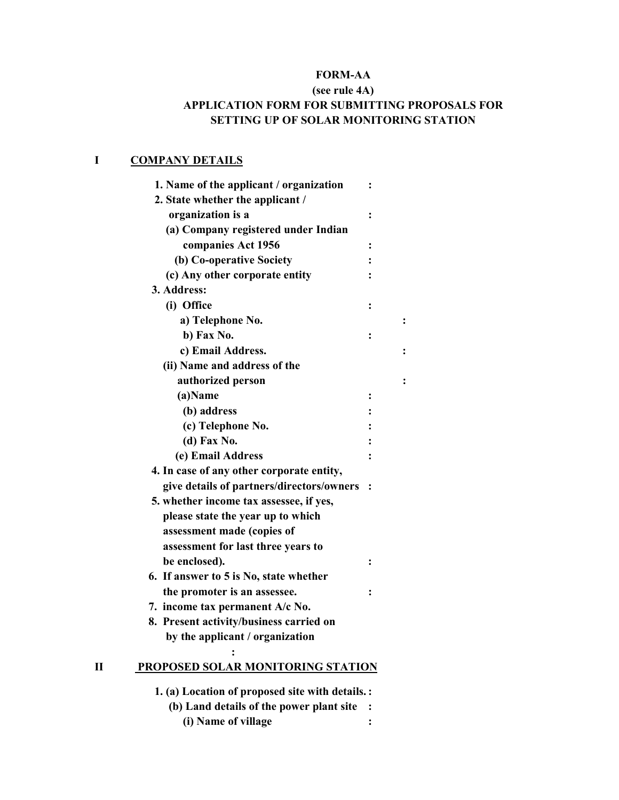### **FORM-AA**

## **(see rule 4A) APPLICATION FORM FOR SUBMITTING PROPOSALS FOR SETTING UP OF SOLAR MONITORING STATION**

## **I COMPANY DETAILS**

| 1. Name of the applicant / organization   | $\ddot{\cdot}$ |                |
|-------------------------------------------|----------------|----------------|
| 2. State whether the applicant /          |                |                |
| organization is a                         | $\ddot{\cdot}$ |                |
| (a) Company registered under Indian       |                |                |
| companies Act 1956                        |                |                |
| (b) Co-operative Society                  |                |                |
| (c) Any other corporate entity            |                |                |
| 3. Address:                               |                |                |
| (i) Office                                | :              |                |
| a) Telephone No.                          |                | $\ddot{\cdot}$ |
| b) Fax No.                                | $\ddot{\cdot}$ |                |
| c) Email Address.                         |                | :              |
| (ii) Name and address of the              |                |                |
| authorized person                         |                |                |
| (a)Name                                   | $\ddot{\cdot}$ |                |
| (b) address                               |                |                |
| (c) Telephone No.                         |                |                |
| (d) Fax No.                               |                |                |
| (e) Email Address                         |                |                |
| 4. In case of any other corporate entity, |                |                |
| give details of partners/directors/owners | $\ddot{\cdot}$ |                |
| 5. whether income tax assessee, if yes,   |                |                |
| please state the year up to which         |                |                |
| assessment made (copies of                |                |                |
| assessment for last three years to        |                |                |
| be enclosed).                             | $\ddot{\cdot}$ |                |
| 6. If answer to 5 is No, state whether    |                |                |
| the promoter is an assessee.              | $\ddot{\cdot}$ |                |
| 7. income tax permanent A/c No.           |                |                |
| 8. Present activity/business carried on   |                |                |
| by the applicant / organization           |                |                |
| PROPOSED SOLAR MONITORING STATION<br>П    |                |                |
|                                           |                |                |

- **1. (a) Location of proposed site with details. :** 
	- **(b) Land details of the power plant site : (i) Name of village :**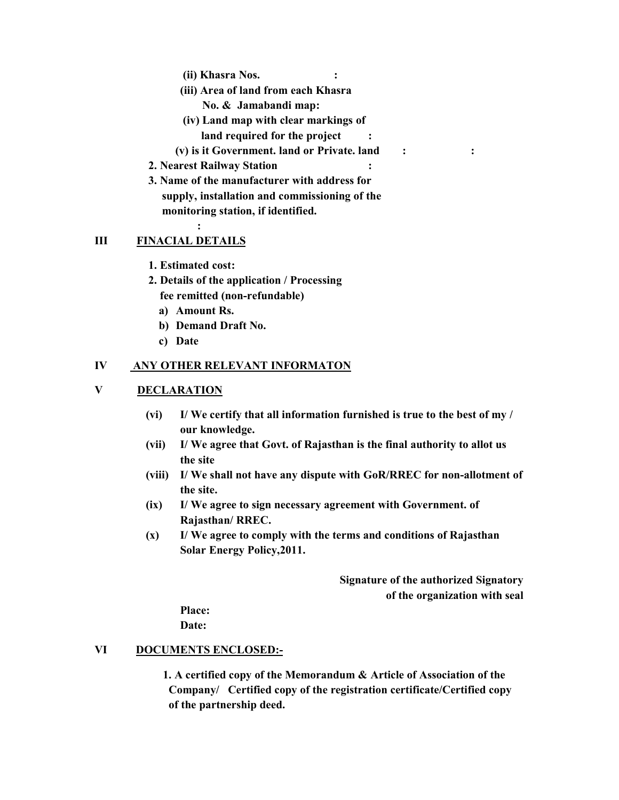- **(ii) Khasra Nos. :**
- **(iii) Area of land from each Khasra No. & Jamabandi map:**
- **(iv) Land map with clear markings of** 
	- **land required for the project :**
- **(v) is it Government. land or Private. land : :**
- **2. Nearest Railway Station :**
- **3. Name of the manufacturer with address for supply, installation and commissioning of the monitoring station, if identified.**

#### **III FINACIAL DETAILS**

**: :** 

- 1. Estimated cost:
- **2. Details of the application / Processing fee remitted (non-refundable)** 
	- **a) Amount Rs.**
	- **b) Demand Draft No.**
	- **c) Date**

#### **IV ANY OTHER RELEVANT INFORMATON**

#### **V DECLARATION**

- **(vi) I/ We certify that all information furnished is true to the best of my / our knowledge.**
- **(vii) I/ We agree that Govt. of Rajasthan is the final authority to allot us the site**
- **(viii) I/ We shall not have any dispute with GoR/RREC for non-allotment of the site.**
- **(ix) I/ We agree to sign necessary agreement with Government. of Rajasthan/ RREC.**
- **(x) I/ We agree to comply with the terms and conditions of Rajasthan Solar Energy Policy,2011.**

**Signature of the authorized Signatory of the organization with seal** 

**Place:** 

**Date:** 

#### **VI DOCUMENTS ENCLOSED:-**

**1. A certified copy of the Memorandum & Article of Association of the Company/ Certified copy of the registration certificate/Certified copy of the partnership deed.**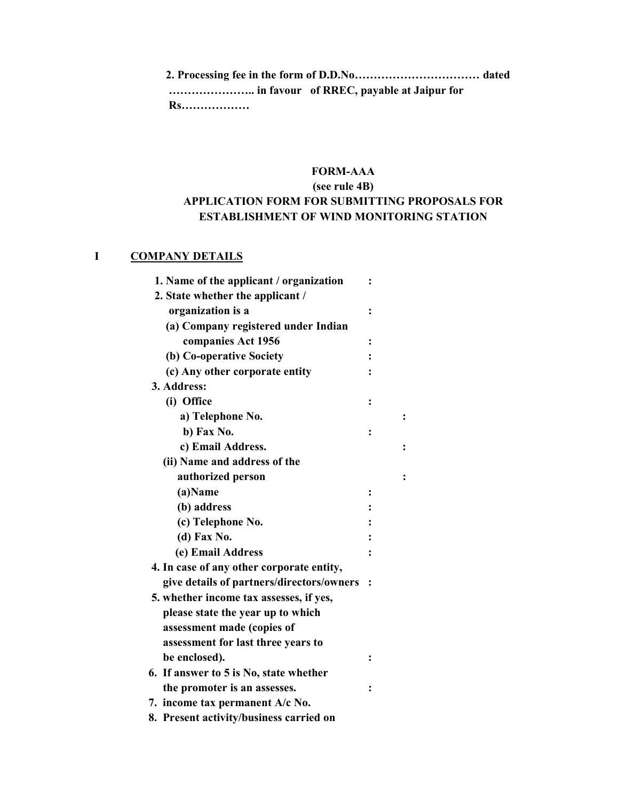**2. Processing fee in the form of D.D.No…………………………… dated ………………….. in favour of RREC, payable at Jaipur for Rs………………** 

## **FORM-AAA**

## **(see rule 4B) APPLICATION FORM FOR SUBMITTING PROPOSALS FOR ESTABLISHMENT OF WIND MONITORING STATION**

### **I COMPANY DETAILS**

| 1. Name of the applicant / organization   |                |  |
|-------------------------------------------|----------------|--|
| 2. State whether the applicant /          |                |  |
| organization is a                         | $\ddot{\cdot}$ |  |
| (a) Company registered under Indian       |                |  |
| companies Act 1956                        | $\ddot{\cdot}$ |  |
| (b) Co-operative Society                  |                |  |
| (c) Any other corporate entity            |                |  |
| 3. Address:                               |                |  |
| (i) Office                                | ፡              |  |
| a) Telephone No.                          |                |  |
| b) Fax No.                                | ፡              |  |
| c) Email Address.                         |                |  |
| (ii) Name and address of the              |                |  |
| authorized person                         |                |  |
| (a)Name                                   | :              |  |
| (b) address                               |                |  |
| (c) Telephone No.                         |                |  |
| (d) Fax No.                               |                |  |
| (e) Email Address                         |                |  |
| 4. In case of any other corporate entity, |                |  |
| give details of partners/directors/owners | $\ddot{\cdot}$ |  |
| 5. whether income tax assesses, if yes,   |                |  |
| please state the year up to which         |                |  |
| assessment made (copies of                |                |  |
| assessment for last three years to        |                |  |
| be enclosed).                             |                |  |
| 6. If answer to 5 is No, state whether    |                |  |
| the promoter is an assesses.              |                |  |
| 7. income tax permanent A/c No.           |                |  |
| 8. Present activity/business carried on   |                |  |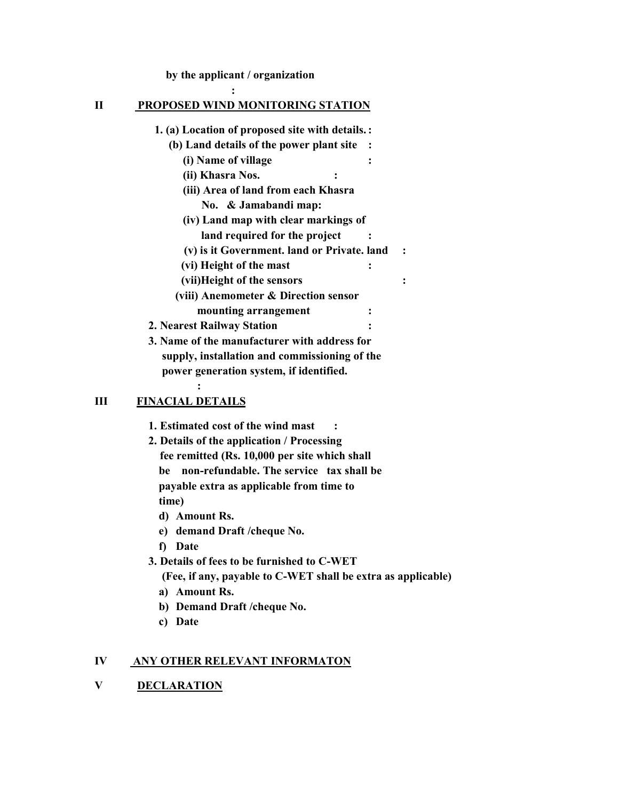**by the applicant / organization** 

#### **II PROPOSED WIND MONITORING STATION**

 *:*  : *:* 

|   | 1. (a) Location of proposed site with details.: |  |
|---|-------------------------------------------------|--|
|   | (b) Land details of the power plant site        |  |
|   | (i) Name of village                             |  |
|   | (ii) Khasra Nos.<br>$\ddot{\cdot}$              |  |
|   | (iii) Area of land from each Khasra             |  |
|   | No. & Jamabandi map:                            |  |
|   | (iv) Land map with clear markings of            |  |
|   | land required for the project                   |  |
|   | (v) is it Government. land or Private. land     |  |
|   | (vi) Height of the mast                         |  |
|   | (vii)Height of the sensors                      |  |
|   | (viii) Anemometer & Direction sensor            |  |
|   | mounting arrangement                            |  |
|   | 2. Nearest Railway Station                      |  |
|   | 3. Name of the manufacturer with address for    |  |
|   | supply, installation and commissioning of the   |  |
|   | power generation system, if identified.         |  |
|   |                                                 |  |
| Ш | <b>FINACIAL DETAILS</b>                         |  |

## **III** FIN

**1. Estimated cost of the wind mast :** 

- **2. Details of the application / Processing fee remitted (Rs. 10,000 per site which shall be non-refundable. The service tax shall be payable extra as applicable from time to time)** 
	- **d) Amount Rs.**

**e) demand Draft /cheque No.** 

**f) Date** 

**3. Details of fees to be furnished to C-WET** 

**(Fee, if any, payable to C-WET shall be extra as applicable)** 

- **a) Amount Rs.**
- **b) Demand Draft /cheque No.**
- **c) Date**

### **IV ANY OTHER RELEVANT INFORMATON**

**V DECLARATION**